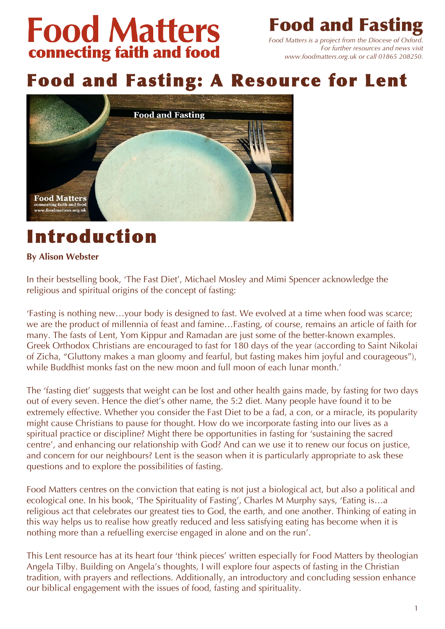# **Food Matters** connecting faith and food

**Food and Fast** 

*Food Matters is a project from the Diocese of Oxford. For further resources and news visit www.foodmatters.org.uk or call 01865 208250.*

# Food and Fasting: A Resource for Lent



# Introduction

# **By Alison Webster**

In their bestselling book, 'The Fast Diet', Michael Mosley and Mimi Spencer acknowledge the religious and spiritual origins of the concept of fasting:

'Fasting is nothing new…your body is designed to fast. We evolved at a time when food was scarce; we are the product of millennia of feast and famine…Fasting, of course, remains an article of faith for many. The fasts of Lent, Yom Kippur and Ramadan are just some of the better-known examples. Greek Orthodox Christians are encouraged to fast for 180 days of the year (according to Saint Nikolai of Zicha, "Gluttony makes a man gloomy and fearful, but fasting makes him joyful and courageous"), while Buddhist monks fast on the new moon and full moon of each lunar month.'

The 'fasting diet' suggests that weight can be lost and other health gains made, by fasting for two days out of every seven. Hence the diet's other name, the 5:2 diet. Many people have found it to be extremely effective. Whether you consider the Fast Diet to be a fad, a con, or a miracle, its popularity might cause Christians to pause for thought. How do we incorporate fasting into our lives as a spiritual practice or discipline? Might there be opportunities in fasting for 'sustaining the sacred centre', and enhancing our relationship with God? And can we use it to renew our focus on justice, and concern for our neighbours? Lent is the season when it is particularly appropriate to ask these questions and to explore the possibilities of fasting.

Food Matters centres on the conviction that eating is not just a biological act, but also a political and ecological one. In his book, 'The Spirituality of Fasting', Charles M Murphy says, 'Eating is…a religious act that celebrates our greatest ties to God, the earth, and one another. Thinking of eating in this way helps us to realise how greatly reduced and less satisfying eating has become when it is nothing more than a refuelling exercise engaged in alone and on the run'.

This Lent resource has at its heart four 'think pieces' written especially for Food Matters by theologian Angela Tilby. Building on Angela's thoughts, I will explore four aspects of fasting in the Christian tradition, with prayers and reflections. Additionally, an introductory and concluding session enhance our biblical engagement with the issues of food, fasting and spirituality.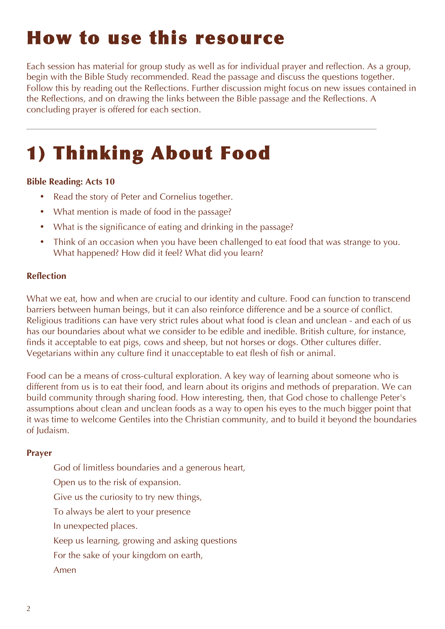# How to use this resource

Each session has material for group study as well as for individual prayer and reflection. As a group, begin with the Bible Study recommended. Read the passage and discuss the questions together. Follow this by reading out the Reflections. Further discussion might focus on new issues contained in the Reflections, and on drawing the links between the Bible passage and the Reflections. A concluding prayer is offered for each section.

# 1) Thinking About Food

### **Bible Reading: Acts 10**

- **Read the story of Peter and Cornelius together.**
- What mention is made of food in the passage?
- What is the significance of eating and drinking in the passage?
- Think of an occasion when you have been challenged to eat food that was strange to you. What happened? How did it feel? What did you learn?

#### **Reflection**

What we eat, how and when are crucial to our identity and culture. Food can function to transcend barriers between human beings, but it can also reinforce difference and be a source of conflict. Religious traditions can have very strict rules about what food is clean and unclean - and each of us has our boundaries about what we consider to be edible and inedible. British culture, for instance, finds it acceptable to eat pigs, cows and sheep, but not horses or dogs. Other cultures differ. Vegetarians within any culture find it unacceptable to eat flesh of fish or animal.

Food can be a means of cross-cultural exploration. A key way of learning about someone who is different from us is to eat their food, and learn about its origins and methods of preparation. We can build community through sharing food. How interesting, then, that God chose to challenge Peter's assumptions about clean and unclean foods as a way to open his eyes to the much bigger point that it was time to welcome Gentiles into the Christian community, and to build it beyond the boundaries of Judaism.

#### **Prayer**

- God of limitless boundaries and a generous heart,
- Open us to the risk of expansion.
- Give us the curiosity to try new things,
- To always be alert to your presence
- In unexpected places.
- Keep us learning, growing and asking questions
- For the sake of your kingdom on earth,
- Amen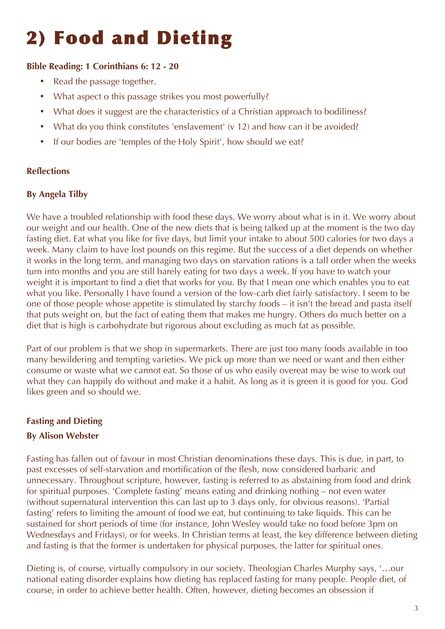# 2) Food and Dieting

## **Bible Reading: 1 Corinthians 6: 12 - 20**

- Read the passage together.
- What aspect o this passage strikes you most powerfully?
- What does it suggest are the characteristics of a Christian approach to bodiliness?
- What do you think constitutes 'enslavement' (v 12) and how can it be avoided?
- If our bodies are 'temples of the Holy Spirit', how should we eat?

### **Reflections**

### **By Angela Tilby**

We have a troubled relationship with food these days. We worry about what is in it. We worry about our weight and our health. One of the new diets that is being talked up at the moment is the two day fasting diet. Eat what you like for five days, but limit your intake to about 500 calories for two days a week. Many claim to have lost pounds on this regime. But the success of a diet depends on whether it works in the long term, and managing two days on starvation rations is a tall order when the weeks turn into months and you are still barely eating for two days a week. If you have to watch your weight it is important to find a diet that works for you. By that I mean one which enables you to eat what you like. Personally I have found a version of the low-carb diet fairly satisfactory. I seem to be one of those people whose appetite is stimulated by starchy foods – it isn't the bread and pasta itself that puts weight on, but the fact of eating them that makes me hungry. Others do much better on a diet that is high is carbohydrate but rigorous about excluding as much fat as possible.

Part of our problem is that we shop in supermarkets. There are just too many foods available in too many bewildering and tempting varieties. We pick up more than we need or want and then either consume or waste what we cannot eat. So those of us who easily overeat may be wise to work out what they can happily do without and make it a habit. As long as it is green it is good for you. God likes green and so should we.

## **Fasting and Dieting**

## **By Alison Webster**

Fasting has fallen out of favour in most Christian denominations these days. This is due, in part, to past excesses of self-starvation and mortification of the flesh, now considered barbaric and unnecessary. Throughout scripture, however, fasting is referred to as abstaining from food and drink for spiritual purposes. 'Complete fasting' means eating and drinking nothing – not even water (without supernatural intervention this can last up to 3 days only, for obvious reasons). 'Partial fasting' refers to limiting the amount of food we eat, but continuing to take liquids. This can be sustained for short periods of time (for instance, John Wesley would take no food before 3pm on Wednesdays and Fridays), or for weeks. In Christian terms at least, the key difference between dieting and fasting is that the former is undertaken for physical purposes, the latter for spiritual ones.

Dieting is, of course, virtually compulsory in our society. Theologian Charles Murphy says, '…our national eating disorder explains how dieting has replaced fasting for many people. People diet, of course, in order to achieve better health. Often, however, dieting becomes an obsession if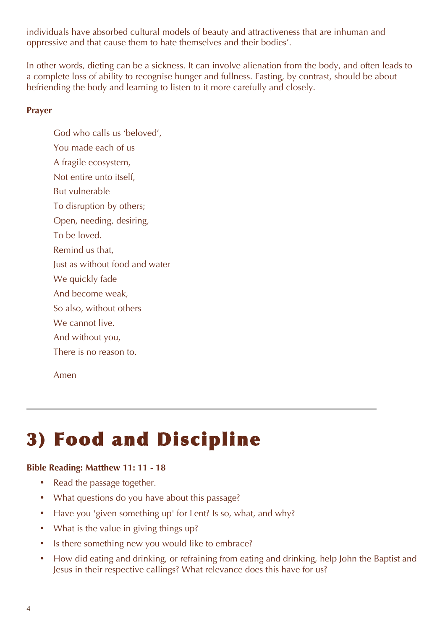individuals have absorbed cultural models of beauty and attractiveness that are inhuman and oppressive and that cause them to hate themselves and their bodies'.

In other words, dieting can be a sickness. It can involve alienation from the body, and often leads to a complete loss of ability to recognise hunger and fullness. Fasting, by contrast, should be about befriending the body and learning to listen to it more carefully and closely.

#### **Prayer**

God who calls us 'beloved', You made each of us A fragile ecosystem, Not entire unto itself, But vulnerable To disruption by others; Open, needing, desiring, To be loved. Remind us that, Just as without food and water We quickly fade And become weak, So also, without others We cannot live. And without you, There is no reason to.

Amen

# 3) Food and Discipline

#### **Bible Reading: Matthew 11: 11 - 18**

- Read the passage together.
- What questions do you have about this passage?
- Have you 'given something up' for Lent? Is so, what, and why?
- What is the value in giving things up?
- Is there something new you would like to embrace?
- How did eating and drinking, or refraining from eating and drinking, help John the Baptist and Jesus in their respective callings? What relevance does this have for us?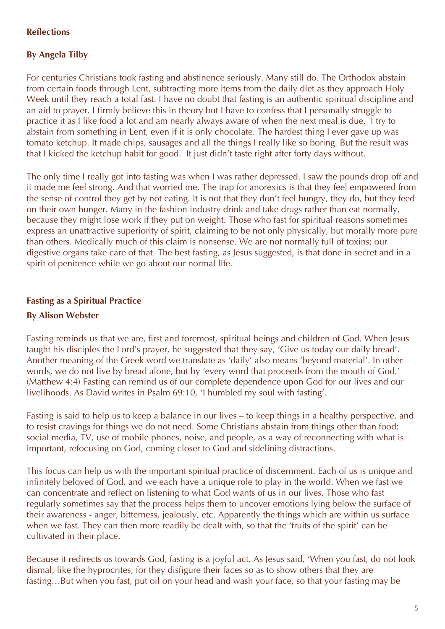### **Reflections**

### **By Angela Tilby**

For centuries Christians took fasting and abstinence seriously. Many still do. The Orthodox abstain from certain foods through Lent, subtracting more items from the daily diet as they approach Holy Week until they reach a total fast. I have no doubt that fasting is an authentic spiritual discipline and an aid to prayer. I firmly believe this in theory but I have to confess that I personally struggle to practice it as I like food a lot and am nearly always aware of when the next meal is due. I try to abstain from something in Lent, even if it is only chocolate. The hardest thing I ever gave up was tomato ketchup. It made chips, sausages and all the things I really like so boring. But the result was that I kicked the ketchup habit for good. It just didn't taste right after forty days without.

The only time I really got into fasting was when I was rather depressed. I saw the pounds drop off and it made me feel strong. And that worried me. The trap for anorexics is that they feel empowered from the sense of control they get by not eating. It is not that they don't feel hungry, they do, but they feed on their own hunger. Many in the fashion industry drink and take drugs rather than eat normally, because they might lose work if they put on weight. Those who fast for spiritual reasons sometimes express an unattractive superiority of spirit, claiming to be not only physically, but morally more pure than others. Medically much of this claim is nonsense. We are not normally full of toxins; our digestive organs take care of that. The best fasting, as Jesus suggested, is that done in secret and in a spirit of penitence while we go about our normal life.

# **Fasting as a Spiritual Practice**

### **By Alison Webster**

Fasting reminds us that we are, first and foremost, spiritual beings and children of God. When Jesus taught his disciples the Lord's prayer, he suggested that they say, 'Give us today our daily bread'. Another meaning of the Greek word we translate as 'daily' also means 'beyond material'. In other words, we do not live by bread alone, but by 'every word that proceeds from the mouth of God.' (Matthew 4:4) Fasting can remind us of our complete dependence upon God for our lives and our livelihoods. As David writes in Psalm 69:10, 'I humbled my soul with fasting'.

Fasting is said to help us to keep a balance in our lives – to keep things in a healthy perspective, and to resist cravings for things we do not need. Some Christians abstain from things other than food: social media, TV, use of mobile phones, noise, and people, as a way of reconnecting with what is important, refocusing on God, coming closer to God and sidelining distractions.

This focus can help us with the important spiritual practice of discernment. Each of us is unique and infinitely beloved of God, and we each have a unique role to play in the world. When we fast we can concentrate and reflect on listening to what God wants of us in our lives. Those who fast regularly sometimes say that the process helps them to uncover emotions lying below the surface of their awareness - anger, bitterness, jealously, etc. Apparently the things which are within us surface when we fast. They can then more readily be dealt with, so that the 'fruits of the spirit' can be cultivated in their place.

Because it redirects us towards God, fasting is a joyful act. As Jesus said, 'When you fast, do not look dismal, like the hyprocrites, for they disfigure their faces so as to show others that they are fasting…But when you fast, put oil on your head and wash your face, so that your fasting may be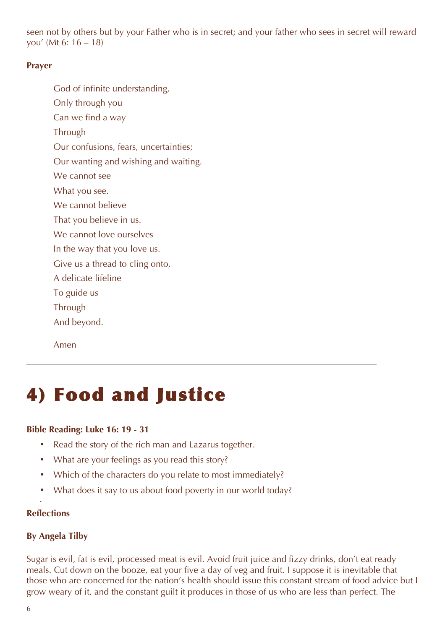seen not by others but by your Father who is in secret; and your father who sees in secret will reward you' (Mt 6: 16 – 18)

#### **Prayer**

- God of infinite understanding,
- Only through you
- Can we find a way
- **Through**
- Our confusions, fears, uncertainties;
- Our wanting and wishing and waiting.
- We cannot see
- What you see.
- We cannot believe
- That you believe in us.
- We cannot love ourselves
- In the way that you love us.
- Give us a thread to cling onto,
- A delicate lifeline
- To guide us
- **Through**
- And beyond.

Amen

# 4) Food and Justice

### **Bible Reading: Luke 16: 19 - 31**

- Read the story of the rich man and Lazarus together.
- What are your feelings as you read this story?
- Which of the characters do you relate to most immediately?
- What does it say to us about food poverty in our world today?

### **Reflections**

•

## **By Angela Tilby**

Sugar is evil, fat is evil, processed meat is evil. Avoid fruit juice and fizzy drinks, don't eat ready meals. Cut down on the booze, eat your five a day of veg and fruit. I suppose it is inevitable that those who are concerned for the nation's health should issue this constant stream of food advice but I grow weary of it, and the constant guilt it produces in those of us who are less than perfect. The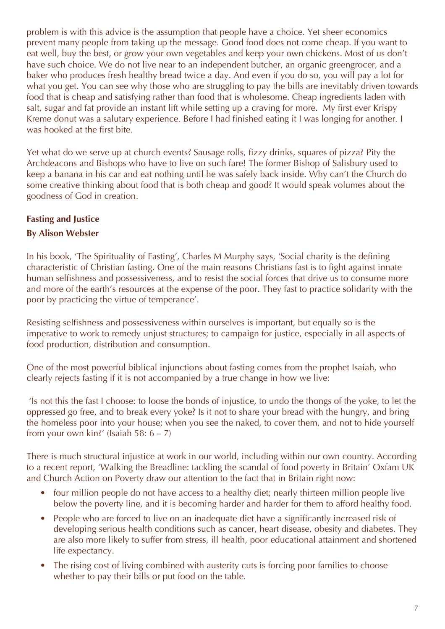problem is with this advice is the assumption that people have a choice. Yet sheer economics prevent many people from taking up the message. Good food does not come cheap. If you want to eat well, buy the best, or grow your own vegetables and keep your own chickens. Most of us don't have such choice. We do not live near to an independent butcher, an organic greengrocer, and a baker who produces fresh healthy bread twice a day. And even if you do so, you will pay a lot for what you get. You can see why those who are struggling to pay the bills are inevitably driven towards food that is cheap and satisfying rather than food that is wholesome. Cheap ingredients laden with salt, sugar and fat provide an instant lift while setting up a craving for more. My first ever Krispy Kreme donut was a salutary experience. Before I had finished eating it I was longing for another. I was hooked at the first bite.

Yet what do we serve up at church events? Sausage rolls, fizzy drinks, squares of pizza? Pity the Archdeacons and Bishops who have to live on such fare! The former Bishop of Salisbury used to keep a banana in his car and eat nothing until he was safely back inside. Why can't the Church do some creative thinking about food that is both cheap and good? It would speak volumes about the goodness of God in creation.

# **Fasting and Justice**

## **By Alison Webster**

In his book, 'The Spirituality of Fasting', Charles M Murphy says, 'Social charity is the defining characteristic of Christian fasting. One of the main reasons Christians fast is to fight against innate human selfishness and possessiveness, and to resist the social forces that drive us to consume more and more of the earth's resources at the expense of the poor. They fast to practice solidarity with the poor by practicing the virtue of temperance'.

Resisting selfishness and possessiveness within ourselves is important, but equally so is the imperative to work to remedy unjust structures; to campaign for justice, especially in all aspects of food production, distribution and consumption.

One of the most powerful biblical injunctions about fasting comes from the prophet Isaiah, who clearly rejects fasting if it is not accompanied by a true change in how we live:

'Is not this the fast I choose: to loose the bonds of injustice, to undo the thongs of the yoke, to let the oppressed go free, and to break every yoke? Is it not to share your bread with the hungry, and bring the homeless poor into your house; when you see the naked, to cover them, and not to hide yourself from your own kin?' (Isaiah 58:  $6 - 7$ )

There is much structural injustice at work in our world, including within our own country. According to a recent report, 'Walking the Breadline: tackling the scandal of food poverty in Britain' Oxfam UK and Church Action on Poverty draw our attention to the fact that in Britain right now:

- four million people do not have access to a healthy diet; nearly thirteen million people live below the poverty line, and it is becoming harder and harder for them to afford healthy food.
- People who are forced to live on an inadequate diet have a significantly increased risk of developing serious health conditions such as cancer, heart disease, obesity and diabetes. They are also more likely to suffer from stress, ill health, poor educational attainment and shortened life expectancy.
- The rising cost of living combined with austerity cuts is forcing poor families to choose whether to pay their bills or put food on the table.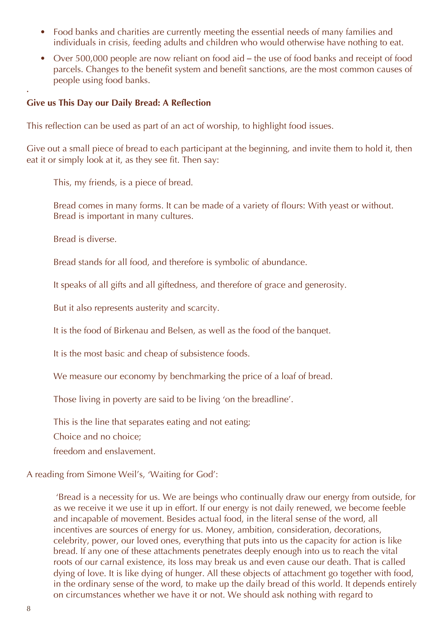- Food banks and charities are currently meeting the essential needs of many families and individuals in crisis, feeding adults and children who would otherwise have nothing to eat.
- Over 500,000 people are now reliant on food aid the use of food banks and receipt of food parcels. Changes to the benefit system and benefit sanctions, are the most common causes of people using food banks.

#### **Give us This Day our Daily Bread: A Reflection**

This reflection can be used as part of an act of worship, to highlight food issues.

Give out a small piece of bread to each participant at the beginning, and invite them to hold it, then eat it or simply look at it, as they see fit. Then say:

This, my friends, is a piece of bread.

Bread comes in many forms. It can be made of a variety of flours: With yeast or without. Bread is important in many cultures.

Bread is diverse.

•

Bread stands for all food, and therefore is symbolic of abundance.

It speaks of all gifts and all giftedness, and therefore of grace and generosity.

But it also represents austerity and scarcity.

It is the food of Birkenau and Belsen, as well as the food of the banquet.

It is the most basic and cheap of subsistence foods.

We measure our economy by benchmarking the price of a loaf of bread.

Those living in poverty are said to be living 'on the breadline'.

This is the line that separates eating and not eating;

Choice and no choice;

freedom and enslavement.

A reading from Simone Weil's, 'Waiting for God':

'Bread is a necessity for us. We are beings who continually draw our energy from outside, for as we receive it we use it up in effort. If our energy is not daily renewed, we become feeble and incapable of movement. Besides actual food, in the literal sense of the word, all incentives are sources of energy for us. Money, ambition, consideration, decorations, celebrity, power, our loved ones, everything that puts into us the capacity for action is like bread. If any one of these attachments penetrates deeply enough into us to reach the vital roots of our carnal existence, its loss may break us and even cause our death. That is called dying of love. It is like dying of hunger. All these objects of attachment go together with food, in the ordinary sense of the word, to make up the daily bread of this world. It depends entirely on circumstances whether we have it or not. We should ask nothing with regard to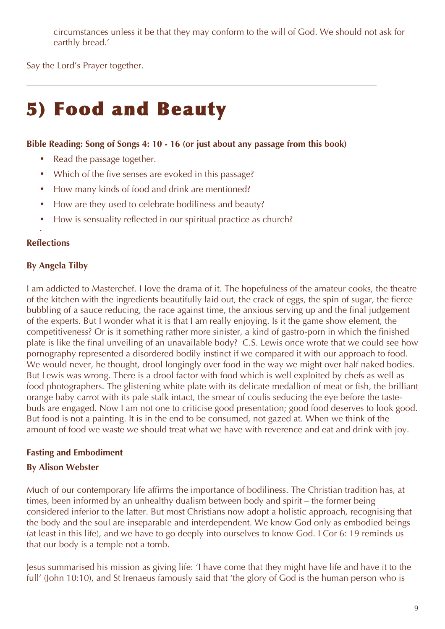circumstances unless it be that they may conform to the will of God. We should not ask for earthly bread.'

Say the Lord's Prayer together.

# 5) Food and Beauty

#### **Bible Reading: Song of Songs 4: 10 - 16 (or just about any passage from this book)**

- Read the passage together.
- Which of the five senses are evoked in this passage?
- How many kinds of food and drink are mentioned?
- How are they used to celebrate bodiliness and beauty?
- How is sensuality reflected in our spiritual practice as church?

### **Reflections**

•

### **By Angela Tilby**

I am addicted to Masterchef. I love the drama of it. The hopefulness of the amateur cooks, the theatre of the kitchen with the ingredients beautifully laid out, the crack of eggs, the spin of sugar, the fierce bubbling of a sauce reducing, the race against time, the anxious serving up and the final judgement of the experts. But I wonder what it is that I am really enjoying. Is it the game show element, the competitiveness? Or is it something rather more sinister, a kind of gastro-porn in which the finished plate is like the final unveiling of an unavailable body? C.S. Lewis once wrote that we could see how pornography represented a disordered bodily instinct if we compared it with our approach to food. We would never, he thought, drool longingly over food in the way we might over half naked bodies. But Lewis was wrong. There is a drool factor with food which is well exploited by chefs as well as food photographers. The glistening white plate with its delicate medallion of meat or fish, the brilliant orange baby carrot with its pale stalk intact, the smear of coulis seducing the eye before the tastebuds are engaged. Now I am not one to criticise good presentation; good food deserves to look good. But food is not a painting. It is in the end to be consumed, not gazed at. When we think of the amount of food we waste we should treat what we have with reverence and eat and drink with joy.

### **Fasting and Embodiment**

### **By Alison Webster**

Much of our contemporary life affirms the importance of bodiliness. The Christian tradition has, at times, been informed by an unhealthy dualism between body and spirit – the former being considered inferior to the latter. But most Christians now adopt a holistic approach, recognising that the body and the soul are inseparable and interdependent. We know God only as embodied beings (at least in this life), and we have to go deeply into ourselves to know God. I Cor 6: 19 reminds us that our body is a temple not a tomb.

Jesus summarised his mission as giving life: 'I have come that they might have life and have it to the full' (John 10:10), and St Irenaeus famously said that 'the glory of God is the human person who is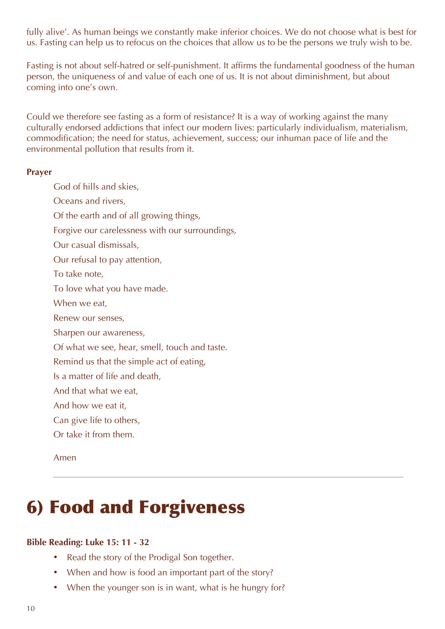fully alive'. As human beings we constantly make inferior choices. We do not choose what is best for us. Fasting can help us to refocus on the choices that allow us to be the persons we truly wish to be.

Fasting is not about self-hatred or self-punishment. It affirms the fundamental goodness of the human person, the uniqueness of and value of each one of us. It is not about diminishment, but about coming into one's own.

Could we therefore see fasting as a form of resistance? It is a way of working against the many culturally endorsed addictions that infect our modern lives: particularly individualism, materialism, commodification; the need for status, achievement, success; our inhuman pace of life and the environmental pollution that results from it.

#### **Prayer**

God of hills and skies, Oceans and rivers, Of the earth and of all growing things, Forgive our carelessness with our surroundings, Our casual dismissals, Our refusal to pay attention, To take note, To love what you have made. When we eat, Renew our senses, Sharpen our awareness, Of what we see, hear, smell, touch and taste. Remind us that the simple act of eating, Is a matter of life and death, And that what we eat, And how we eat it, Can give life to others, Or take it from them. Amen

# 6) Food and Forgiveness

### **Bible Reading: Luke 15: 11 - 32**

- Read the story of the Prodigal Son together.
- When and how is food an important part of the story?
- When the younger son is in want, what is he hungry for?